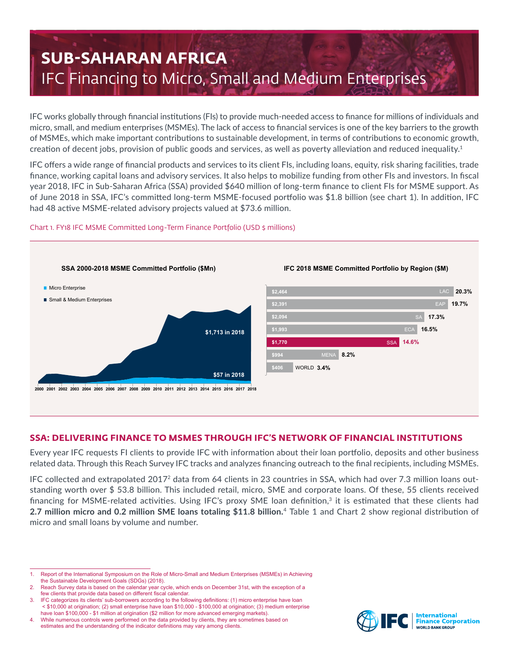# **SUB-SAHARAN AFRICA** IFC Financing to Micro, Small and Medium Enterprises

IFC works globally through financial institutions (FIs) to provide much-needed access to finance for millions of individuals and micro, small, and medium enterprises (MSMEs). The lack of access to financial services is one of the key barriers to the growth of MSMEs, which make important contributions to sustainable development, in terms of contributions to economic growth, creation of decent jobs, provision of public goods and services, as well as poverty alleviation and reduced inequality.<sup>1</sup>

IFC offers a wide range of financial products and services to its client FIs, including loans, equity, risk sharing facilities, trade finance, working capital loans and advisory services. It also helps to mobilize funding from other FIs and investors. In fiscal year 2018, IFC in Sub-Saharan Africa (SSA) provided \$640 million of long-term finance to client FIs for MSME support. As of June 2018 in SSA, IFC's committed long-term MSME-focused portfolio was \$1.8 billion (see chart 1). In addition, IFC had 48 active MSME-related advisory projects valued at \$73.6 million.

# Chart 1. FY18 IFC MSME Committed Long-Term Finance Portfolio (USD \$ millions)



# **SSA: DELIVERING FINANCE TO MSMES THROUGH IFC'S NETWORK OF FINANCIAL INSTITUTIONS**

Every year IFC requests FI clients to provide IFC with information about their loan portfolio, deposits and other business related data. Through this Reach Survey IFC tracks and analyzes financing outreach to the final recipients, including MSMEs.

IFC collected and extrapolated 20172 data from 64 clients in 23 countries in SSA, which had over 7.3 million loans outstanding worth over \$ 53.8 billion. This included retail, micro, SME and corporate loans. Of these, 55 clients received financing for MSME-related activities. Using IFC's proxy SME loan definition,<sup>3</sup> it is estimated that these clients had **2.7 million micro and 0.2 million SME loans totaling \$11.8 billion.** <sup>4</sup> Table 1 and Chart 2 show regional distribution of micro and small loans by volume and number.



<sup>1.</sup> Report of the International Symposium on the Role of Micro-Small and Medium Enterprises (MSMEs) in Achieving the Sustainable Development Goals (SDGs) (2018).

Reach Survey data is based on the calendar year cycle, which ends on December 31st, with the exception of a few clients that provide data based on different fiscal calendar.

<sup>3.</sup> IFC categorizes its clients' sub-borrowers according to the following definitions: (1) micro enterprise have loan < \$10,000 at origination; (2) small enterprise have loan \$10,000 - \$100,000 at origination; (3) medium enterprise have loan \$100,000 - \$1 million at origination (\$2 million for more advanced emerging markets).

<sup>4.</sup> While numerous controls were performed on the data provided by clients, they are sometimes based on estimates and the understanding of the indicator definitions may vary among clients.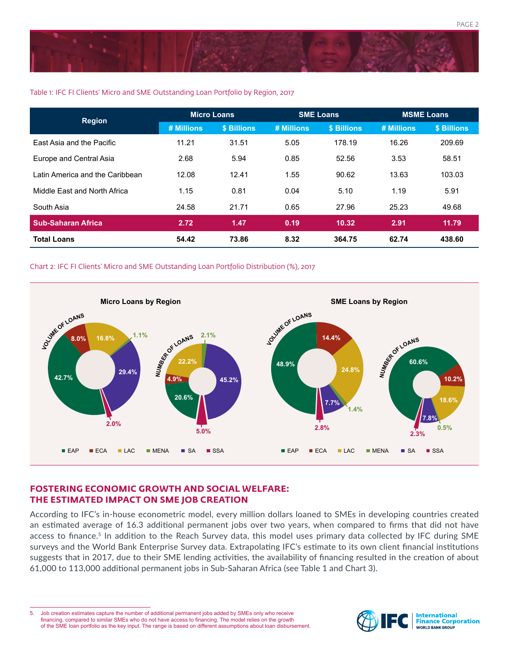

## Table 1: IFC FI Clients' Micro and SME Outstanding Loan Portfolio by Region, 2017

| <b>Region</b>                   | <b>Micro Loans</b> |             | <b>SME Loans</b> |             | <b>MSME Loans</b> |             |
|---------------------------------|--------------------|-------------|------------------|-------------|-------------------|-------------|
|                                 | # Millions         | \$ Billions | # Millions       | \$ Billions | # Millions        | \$ Billions |
| East Asia and the Pacific       | 11.21              | 31.51       | 5.05             | 178.19      | 16.26             | 209.69      |
| Europe and Central Asia         | 2.68               | 5.94        | 0.85             | 52.56       | 3.53              | 58.51       |
| Latin America and the Caribbean | 12.08              | 12.41       | 1.55             | 90.62       | 13.63             | 103.03      |
| Middle East and North Africa    | 1.15               | 0.81        | 0.04             | 5.10        | 1.19              | 5.91        |
| South Asia                      | 24.58              | 21.71       | 0.65             | 27.96       | 25.23             | 49.68       |
| <b>Sub-Saharan Africa</b>       | 2.72               | 1.47        | 0.19             | 10.32       | 2.91              | 11.79       |
| <b>Total Loans</b>              | 54.42              | 73.86       | 8.32             | 364.75      | 62.74             | 438.60      |

### Chart 2: IFC FI Clients' Micro and SME Outstanding Loan Portfolio Distribution (%), 2017



# **FOSTERING ECONOMIC GROWTH AND SOCIAL WELFARE: THE ESTIMATED IMPACT ON SME JOB CREATION**

According to IFC's in-house econometric model, every million dollars loaned to SMEs in developing countries created an estimated average of 16.3 additional permanent jobs over two years, when compared to firms that did not have access to finance.<sup>5</sup> In addition to the Reach Survey data, this model uses primary data collected by IFC during SME surveys and the World Bank Enterprise Survey data. Extrapolating IFC's estimate to its own client financial institutions suggests that in 2017, due to their SME lending activities, the availability of financing resulted in the creation of about 61,000 to 113,000 additional permanent jobs in Sub-Saharan Africa (see Table 1 and Chart 3).

5. Job creation estimates capture the number of additional permanent jobs added by SMEs only who receive financing, compared to similar SMEs who do not have access to financing. The model relies on the growth of the SME loan portfolio as the key input. The range is based on different assumptions about loan disbursement.

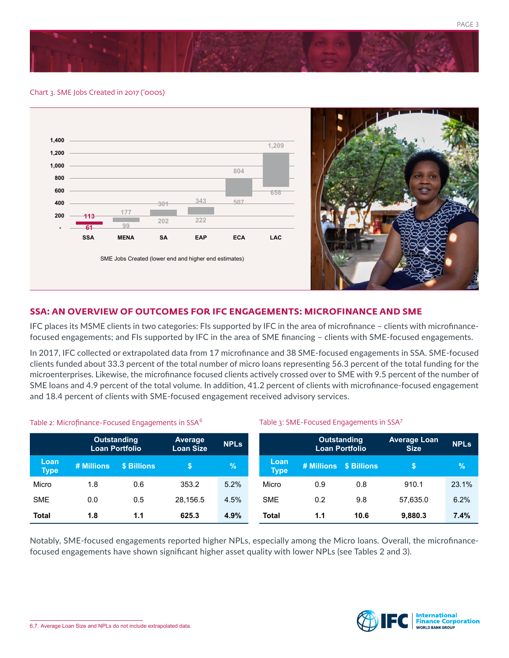

#### Chart 3. SME Jobs Created in 2017 ('000s)



# **SSA: AN OVERVIEW OF OUTCOMES FOR IFC ENGAGEMENTS: MICROFINANCE AND SME**

IFC places its MSME clients in two categories: FIs supported by IFC in the area of microfinance – clients with microfinancefocused engagements; and FIs supported by IFC in the area of SME financing – clients with SME-focused engagements.

In 2017, IFC collected or extrapolated data from 17 microfinance and 38 SME-focused engagements in SSA. SME-focused clients funded about 33.3 percent of the total number of micro loans representing 56.3 percent of the total funding for the microenterprises. Likewise, the microfinance focused clients actively crossed over to SME with 9.5 percent of the number of SME loans and 4.9 percent of the total volume. In addition, 41.2 percent of clients with microfinance-focused engagement and 18.4 percent of clients with SME-focused engagement received advisory services.

Table 3: SME-Focused Engagements in SSA<sup>7</sup>

#### Table 2: Microfinance-Focused Engagements in SSA<sup>6</sup>

|                     | <b>Outstanding</b><br><b>Loan Portfolio</b> |             | Average<br><b>Loan Size</b> | <b>NPLs</b> |                     | <b>Outstanding</b><br>Loan Portfolio |                        | <b>Average Loan</b><br><b>Size</b> | <b>NPLs</b> |
|---------------------|---------------------------------------------|-------------|-----------------------------|-------------|---------------------|--------------------------------------|------------------------|------------------------------------|-------------|
| Loan<br><b>Type</b> | # Millions                                  | \$ Billions |                             | %           | Loan<br><b>Type</b> |                                      | # Millions \$ Billions | S.                                 | $\sqrt{2}$  |
| Micro               | 1.8                                         | 0.6         | 353.2                       | 5.2%        | Micro               | 0.9                                  | 0.8                    | 910.1                              | 23.1%       |
| <b>SME</b>          | 0.0                                         | 0.5         | 28.156.5                    | 4.5%        | <b>SME</b>          | 0.2                                  | 9.8                    | 57,635.0                           | 6.2%        |
| <b>Total</b>        | 1.8                                         | 1.1         | 625.3                       | 4.9%        | <b>Total</b>        | 1.1                                  | 10.6                   | 9.880.3                            | 7.4%        |

Notably, SME-focused engagements reported higher NPLs, especially among the Micro loans. Overall, the microfinancefocused engagements have shown significant higher asset quality with lower NPLs (see Tables 2 and 3).

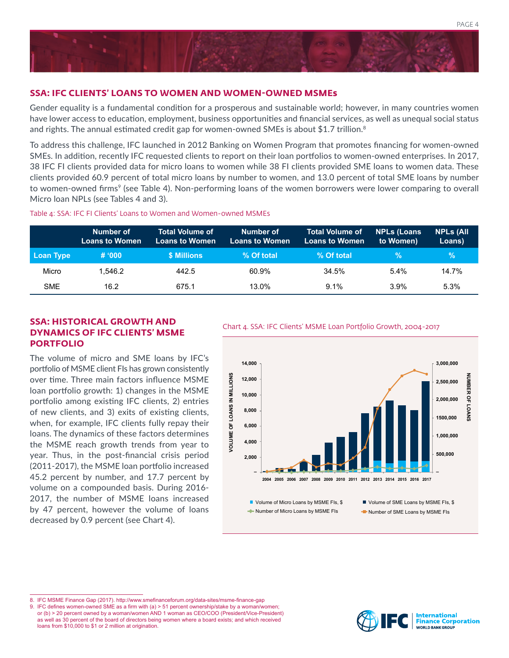

## **SSA: IFC CLIENTS' LOANS TO WOMEN AND WOMEN-OWNED MSMEs**

Gender equality is a fundamental condition for a prosperous and sustainable world; however, in many countries women have lower access to education, employment, business opportunities and financial services, as well as unequal social status and rights. The annual estimated credit gap for women-owned SMEs is about \$1.7 trillion.<sup>8</sup>

To address this challenge, IFC launched in 2012 Banking on Women Program that promotes financing for women-owned SMEs. In addition, recently IFC requested clients to report on their loan portfolios to women-owned enterprises. In 2017, 38 IFC FI clients provided data for micro loans to women while 38 FI clients provided SME loans to women data. These clients provided 60.9 percent of total micro loans by number to women, and 13.0 percent of total SME loans by number to women-owned firms<sup>9</sup> (see Table 4). Non-performing loans of the women borrowers were lower comparing to overall Micro loan NPLs (see Tables 4 and 3).

#### Table 4: SSA: IFC FI Clients' Loans to Women and Women-owned MSMEs

|            | Number of<br><b>Loans to Women</b> | <b>Total Volume of</b><br><b>Loans to Women</b> | Number of<br><b>Loans to Women</b> | <b>Total Volume of</b><br>Loans to Women | <b>NPLs (Loans)</b><br>to Women) | <b>NPLS (All</b><br>Loans) |
|------------|------------------------------------|-------------------------------------------------|------------------------------------|------------------------------------------|----------------------------------|----------------------------|
| Loan Type  | # 000                              | \$ Millions                                     | % Of total                         | % Of total                               | $\%$                             | $\mathcal{A}$              |
| Micro      | 1.546.2                            | 442.5                                           | 60.9%                              | 34.5%                                    | $5.4\%$                          | 14.7%                      |
| <b>SME</b> | 16.2                               | 675.1                                           | 13.0%                              | $9.1\%$                                  | 3.9%                             | 5.3%                       |

# **SSA: HISTORICAL GROWTH AND**<br>Chart 4. SSA: IFC Clients' MSME Loan Portfolio Growth, 2004-2017 **DYNAMICS OF IFC CLIENTS' MSME PORTFOLIO**

The volume of micro and SME loans by IFC's portfolio of MSME client FIs has grown consistently over time. Three main factors influence MSME loan portfolio growth: 1) changes in the MSME portfolio among existing IFC clients, 2) entries of new clients, and 3) exits of existing clients, when, for example, IFC clients fully repay their loans. The dynamics of these factors determines the MSME reach growth trends from year to year. Thus, in the post-financial crisis period (2011-2017), the MSME loan portfolio increased 45.2 percent by number, and 17.7 percent by volume on a compounded basis. During 2016- 2017, the number of MSME loans increased by 47 percent, however the volume of loans decreased by 0.9 percent (see Chart 4).



8. IFC MSME Finance Gap (2017). http://www.smefinanceforum.org/data-sites/msme-finance-gap

9. IFC defines women-owned SME as a firm with (a) > 51 percent ownership/stake by a woman/women; or (b) > 20 percent owned by a woman/women AND 1 woman as CEO/COO (President/Vice-President) as well as 30 percent of the board of directors being women where a board exists; and which received loans from \$10,000 to \$1 or 2 million at origination.

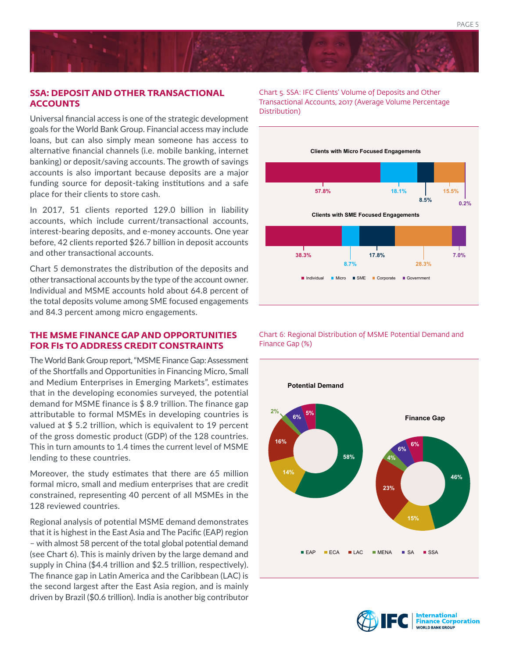

# **SSA: DEPOSIT AND OTHER TRANSACTIONAL ACCOUNTS**

Universal financial access is one of the strategic development goals for the World Bank Group. Financial access may include loans, but can also simply mean someone has access to alternative financial channels (i.e. mobile banking, internet banking) or deposit/saving accounts. The growth of savings accounts is also important because deposits are a major funding source for deposit-taking institutions and a safe place for their clients to store cash.

In 2017, 51 clients reported 129.0 billion in liability accounts, which include current/transactional accounts, interest-bearing deposits, and e-money accounts. One year before, 42 clients reported \$26.7 billion in deposit accounts and other transactional accounts.

Chart 5 demonstrates the distribution of the deposits and other transactional accounts by the type of the account owner. Individual and MSME accounts hold about 64.8 percent of the total deposits volume among SME focused engagements and 84.3 percent among micro engagements.

# **THE MSME FINANCE GAP AND OPPORTUNITIES FOR FIs TO ADDRESS CREDIT CONSTRAINTS**

The World Bank Group report, "MSME Finance Gap: Assessment of the Shortfalls and Opportunities in Financing Micro, Small and Medium Enterprises in Emerging Markets", estimates that in the developing economies surveyed, the potential demand for MSME finance is \$ 8.9 trillion. The finance gap attributable to formal MSMEs in developing countries is valued at \$ 5.2 trillion, which is equivalent to 19 percent of the gross domestic product (GDP) of the 128 countries. This in turn amounts to 1.4 times the current level of MSME lending to these countries.

Moreover, the study estimates that there are 65 million formal micro, small and medium enterprises that are credit constrained, representing 40 percent of all MSMEs in the 128 reviewed countries.

Regional analysis of potential MSME demand demonstrates that it is highest in the East Asia and The Pacific (EAP) region – with almost 58 percent of the total global potential demand (see Chart 6). This is mainly driven by the large demand and supply in China (\$4.4 trillion and \$2.5 trillion, respectively). The finance gap in Latin America and the Caribbean (LAC) is the second largest after the East Asia region, and is mainly driven by Brazil (\$0.6 trillion). India is another big contributor Chart 5. SSA: IFC Clients' Volume of Deposits and Other Transactional Accounts, 2017 (Average Volume Percentage Distribution)